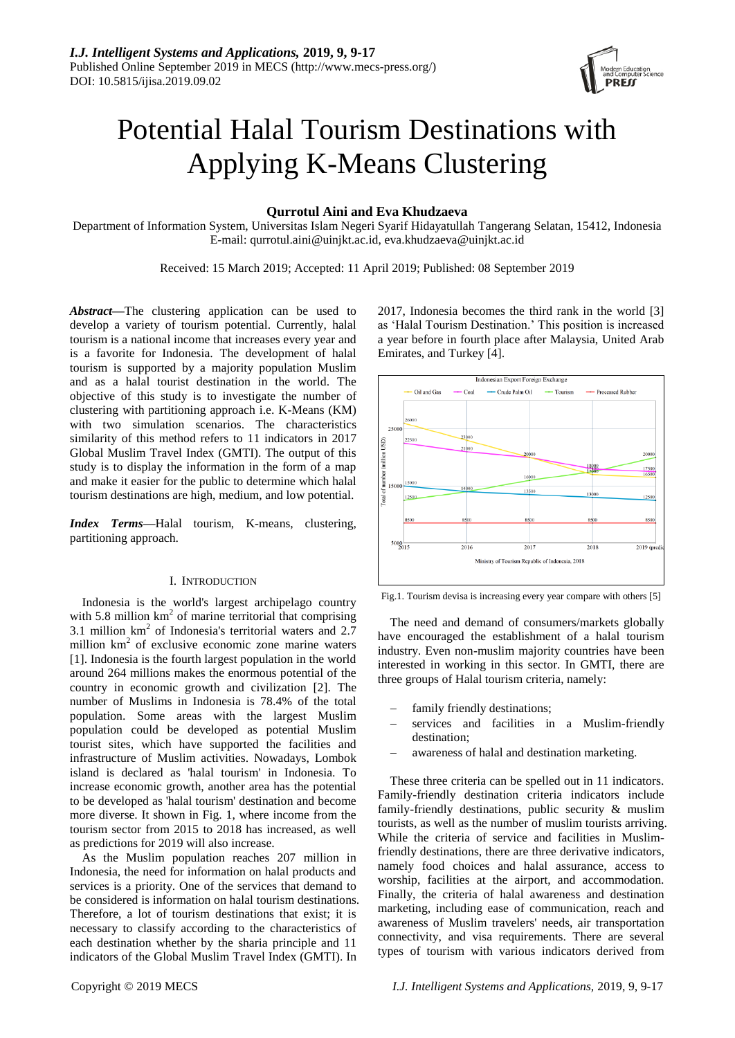

# Potential Halal Tourism Destinations with Applying K-Means Clustering

# **Qurrotul Aini and Eva Khudzaeva**

Department of Information System, Universitas Islam Negeri Syarif Hidayatullah Tangerang Selatan, 15412, Indonesia E-mail: qurrotul.aini@uinjkt.ac.id, eva.khudzaeva@uinjkt.ac.id

Received: 15 March 2019; Accepted: 11 April 2019; Published: 08 September 2019

*Abstract***—**The clustering application can be used to develop a variety of tourism potential. Currently, halal tourism is a national income that increases every year and is a favorite for Indonesia. The development of halal tourism is supported by a majority population Muslim and as a halal tourist destination in the world. The objective of this study is to investigate the number of clustering with partitioning approach i.e. K-Means (KM) with two simulation scenarios. The characteristics similarity of this method refers to 11 indicators in 2017 Global Muslim Travel Index (GMTI). The output of this study is to display the information in the form of a map and make it easier for the public to determine which halal tourism destinations are high, medium, and low potential.

*Index Terms***—**Halal tourism, K-means, clustering, partitioning approach.

#### I. INTRODUCTION

Indonesia is the world's largest archipelago country with  $5.8$  million  $km<sup>2</sup>$  of marine territorial that comprising 3.1 million  $km^2$  of Indonesia's territorial waters and 2.7 million  $km^2$  of exclusive economic zone marine waters [1]. Indonesia is the fourth largest population in the world around 264 millions makes the enormous potential of the country in economic growth and civilization [2]. The number of Muslims in Indonesia is 78.4% of the total population. Some areas with the largest Muslim population could be developed as potential Muslim tourist sites, which have supported the facilities and infrastructure of Muslim activities. Nowadays, Lombok island is declared as 'halal tourism' in Indonesia. To increase economic growth, another area has the potential to be developed as 'halal tourism' destination and become more diverse. It shown in Fig. 1, where income from the tourism sector from 2015 to 2018 has increased, as well as predictions for 2019 will also increase.

As the Muslim population reaches 207 million in Indonesia, the need for information on halal products and services is a priority. One of the services that demand to be considered is information on halal tourism destinations. Therefore, a lot of tourism destinations that exist; it is necessary to classify according to the characteristics of each destination whether by the sharia principle and 11 indicators of the Global Muslim Travel Index (GMTI). In

2017, Indonesia becomes the third rank in the world [3] as "Halal Tourism Destination." This position is increased a year before in fourth place after Malaysia, United Arab Emirates, and Turkey [4].



Fig.1. Tourism devisa is increasing every year compare with others [5]

The need and demand of consumers/markets globally have encouraged the establishment of a halal tourism industry. Even non-muslim majority countries have been interested in working in this sector. In GMTI, there are three groups of Halal tourism criteria, namely:

- family friendly destinations;
- services and facilities in a Muslim-friendly destination;
- awareness of halal and destination marketing.

These three criteria can be spelled out in 11 indicators. Family-friendly destination criteria indicators include family-friendly destinations, public security & muslim tourists, as well as the number of muslim tourists arriving. While the criteria of service and facilities in Muslimfriendly destinations, there are three derivative indicators, namely food choices and halal assurance, access to worship, facilities at the airport, and accommodation. Finally, the criteria of halal awareness and destination marketing, including ease of communication, reach and awareness of Muslim travelers' needs, air transportation connectivity, and visa requirements. There are several types of tourism with various indicators derived from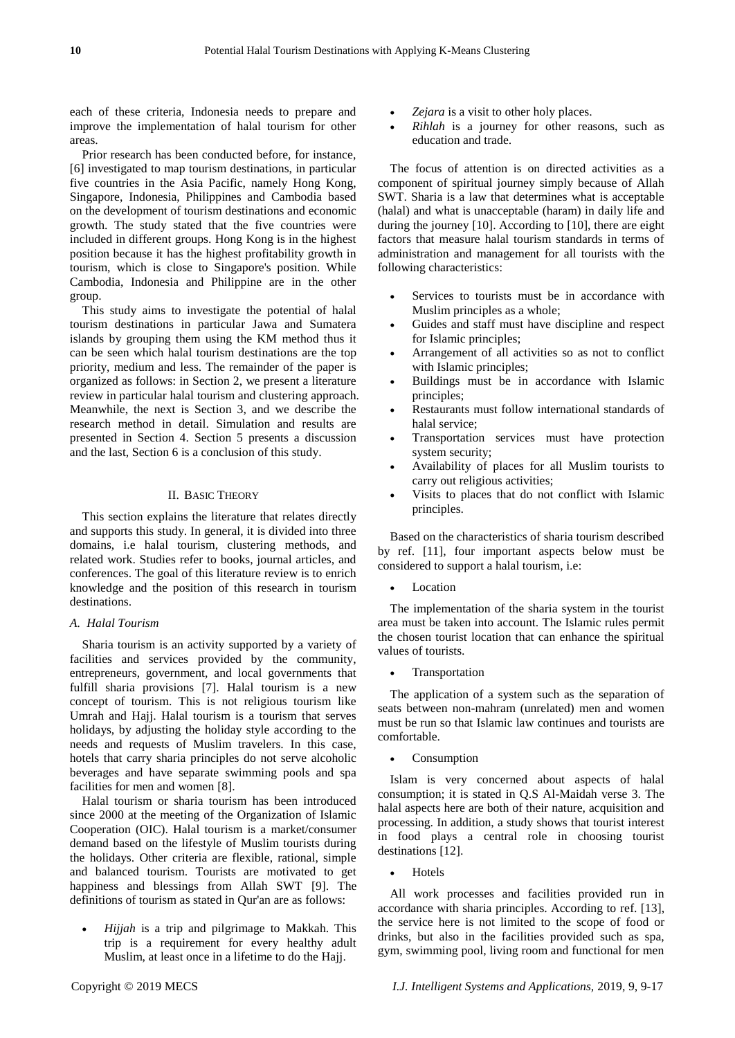each of these criteria, Indonesia needs to prepare and improve the implementation of halal tourism for other areas.

Prior research has been conducted before, for instance, [6] investigated to map tourism destinations, in particular five countries in the Asia Pacific, namely Hong Kong, Singapore, Indonesia, Philippines and Cambodia based on the development of tourism destinations and economic growth. The study stated that the five countries were included in different groups. Hong Kong is in the highest position because it has the highest profitability growth in tourism, which is close to Singapore's position. While Cambodia, Indonesia and Philippine are in the other group.

This study aims to investigate the potential of halal tourism destinations in particular Jawa and Sumatera islands by grouping them using the KM method thus it can be seen which halal tourism destinations are the top priority, medium and less. The remainder of the paper is organized as follows: in Section 2, we present a literature review in particular halal tourism and clustering approach. Meanwhile, the next is Section 3, and we describe the research method in detail. Simulation and results are presented in Section 4. Section 5 presents a discussion and the last, Section 6 is a conclusion of this study.

# II. BASIC THEORY

This section explains the literature that relates directly and supports this study. In general, it is divided into three domains, i.e halal tourism, clustering methods, and related work. Studies refer to books, journal articles, and conferences. The goal of this literature review is to enrich knowledge and the position of this research in tourism destinations.

### *A. Halal Tourism*

Sharia tourism is an activity supported by a variety of facilities and services provided by the community, entrepreneurs, government, and local governments that fulfill sharia provisions [7]. Halal tourism is a new concept of tourism. This is not religious tourism like Umrah and Hajj. Halal tourism is a tourism that serves holidays, by adjusting the holiday style according to the needs and requests of Muslim travelers. In this case, hotels that carry sharia principles do not serve alcoholic beverages and have separate swimming pools and spa facilities for men and women [8].

Halal tourism or sharia tourism has been introduced since 2000 at the meeting of the Organization of Islamic Cooperation (OIC). Halal tourism is a market/consumer demand based on the lifestyle of Muslim tourists during the holidays. Other criteria are flexible, rational, simple and balanced tourism. Tourists are motivated to get happiness and blessings from Allah SWT [9]. The definitions of tourism as stated in Qur'an are as follows:

 *Hijjah* is a trip and pilgrimage to Makkah. This trip is a requirement for every healthy adult Muslim, at least once in a lifetime to do the Hajj.

- *Zejara* is a visit to other holy places.
- *Rihlah* is a journey for other reasons, such as education and trade.

The focus of attention is on directed activities as a component of spiritual journey simply because of Allah SWT. Sharia is a law that determines what is acceptable (halal) and what is unacceptable (haram) in daily life and during the journey [10]. According to [10], there are eight factors that measure halal tourism standards in terms of administration and management for all tourists with the following characteristics:

- Services to tourists must be in accordance with Muslim principles as a whole;
- Guides and staff must have discipline and respect for Islamic principles;
- Arrangement of all activities so as not to conflict with Islamic principles;
- Buildings must be in accordance with Islamic principles;
- Restaurants must follow international standards of halal service;
- Transportation services must have protection system security;
- Availability of places for all Muslim tourists to carry out religious activities;
- Visits to places that do not conflict with Islamic principles.

Based on the characteristics of sharia tourism described by ref. [11], four important aspects below must be considered to support a halal tourism, i.e:

Location

The implementation of the sharia system in the tourist area must be taken into account. The Islamic rules permit the chosen tourist location that can enhance the spiritual values of tourists.

Transportation

The application of a system such as the separation of seats between non-mahram (unrelated) men and women must be run so that Islamic law continues and tourists are comfortable.

Consumption

Islam is very concerned about aspects of halal consumption; it is stated in Q.S Al-Maidah verse 3. The halal aspects here are both of their nature, acquisition and processing. In addition, a study shows that tourist interest in food plays a central role in choosing tourist destinations [12].

Hotels

All work processes and facilities provided run in accordance with sharia principles. According to ref. [13], the service here is not limited to the scope of food or drinks, but also in the facilities provided such as spa, gym, swimming pool, living room and functional for men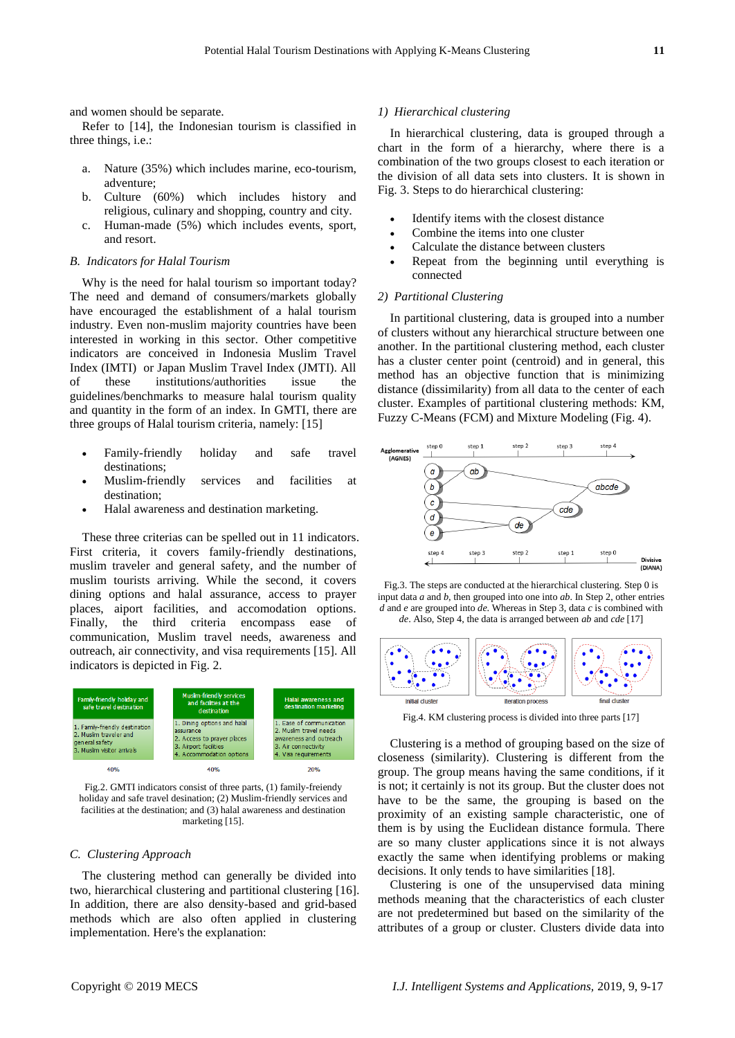and women should be separate.

Refer to [14], the Indonesian tourism is classified in three things, i.e.:

- a. Nature (35%) which includes marine, eco-tourism, adventure;
- b. Culture (60%) which includes history and religious, culinary and shopping, country and city.
- c. Human-made (5%) which includes events, sport, and resort.

#### *B. Indicators for Halal Tourism*

Why is the need for halal tourism so important today? The need and demand of consumers/markets globally have encouraged the establishment of a halal tourism industry. Even non-muslim majority countries have been interested in working in this sector. Other competitive indicators are conceived in Indonesia Muslim Travel Index (IMTI) or Japan Muslim Travel Index (JMTI). All of these institutions/authorities issue the guidelines/benchmarks to measure halal tourism quality and quantity in the form of an index. In GMTI, there are three groups of Halal tourism criteria, namely: [15]

- Family-friendly holiday and safe travel destinations;
- Muslim-friendly services and facilities at destination;
- Halal awareness and destination marketing.

These three criterias can be spelled out in 11 indicators. First criteria, it covers family-friendly destinations, muslim traveler and general safety, and the number of muslim tourists arriving. While the second, it covers dining options and halal assurance, access to prayer places, aiport facilities, and accomodation options. Finally, the third criteria encompass ease of communication, Muslim travel needs, awareness and outreach, air connectivity, and visa requirements [15]. All indicators is depicted in Fig. 2.



Fig.2. GMTI indicators consist of three parts, (1) family-freiendy holiday and safe travel desination; (2) Muslim-friendly services and facilities at the destination; and (3) halal awareness and destination marketing [15].

#### *C. Clustering Approach*

The clustering method can generally be divided into two, hierarchical clustering and partitional clustering [16]. In addition, there are also density-based and grid-based methods which are also often applied in clustering implementation. Here's the explanation:

#### *1) Hierarchical clustering*

In hierarchical clustering, data is grouped through a chart in the form of a hierarchy, where there is a combination of the two groups closest to each iteration or the division of all data sets into clusters. It is shown in Fig. 3. Steps to do hierarchical clustering:

- Identify items with the closest distance
- Combine the items into one cluster
- Calculate the distance between clusters
- Repeat from the beginning until everything is connected

#### *2) Partitional Clustering*

In partitional clustering, data is grouped into a number of clusters without any hierarchical structure between one another. In the partitional clustering method, each cluster has a cluster center point (centroid) and in general, this method has an objective function that is minimizing distance (dissimilarity) from all data to the center of each cluster. Examples of partitional clustering methods: KM, Fuzzy C-Means (FCM) and Mixture Modeling (Fig. 4).



Fig.3. The steps are conducted at the hierarchical clustering. Step 0 is input data *a* and *b*, then grouped into one into *ab*. In Step 2, other entries *d* and *e* are grouped into *de*. Whereas in Step 3, data *c* is combined with *de*. Also, Step 4, the data is arranged between *ab* and *cde* [17]



Fig.4. KM clustering process is divided into three parts [17]

Clustering is a method of grouping based on the size of closeness (similarity). Clustering is different from the group. The group means having the same conditions, if it is not; it certainly is not its group. But the cluster does not have to be the same, the grouping is based on the proximity of an existing sample characteristic, one of them is by using the Euclidean distance formula. There are so many cluster applications since it is not always exactly the same when identifying problems or making decisions. It only tends to have similarities [18].

Clustering is one of the unsupervised data mining methods meaning that the characteristics of each cluster are not predetermined but based on the similarity of the attributes of a group or cluster. Clusters divide data into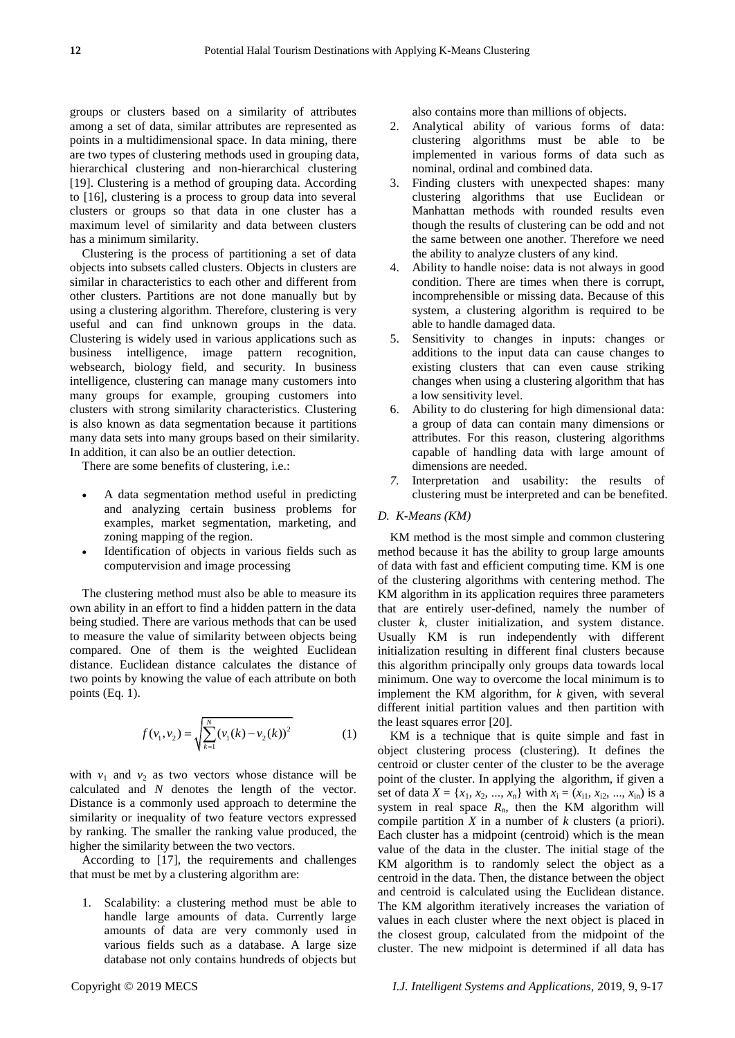groups or clusters based on a similarity of attributes among a set of data, similar attributes are represented as points in a multidimensional space. In data mining, there are two types of clustering methods used in grouping data, hierarchical clustering and non-hierarchical clustering [19]. Clustering is a method of grouping data. According to [16], clustering is a process to group data into several clusters or groups so that data in one cluster has a maximum level of similarity and data between clusters has a minimum similarity.

Clustering is the process of partitioning a set of data objects into subsets called clusters. Objects in clusters are similar in characteristics to each other and different from other clusters. Partitions are not done manually but by using a clustering algorithm. Therefore, clustering is very useful and can find unknown groups in the data. Clustering is widely used in various applications such as business intelligence, image pattern recognition, websearch, biology field, and security. In business intelligence, clustering can manage many customers into many groups for example, grouping customers into clusters with strong similarity characteristics. Clustering is also known as data segmentation because it partitions many data sets into many groups based on their similarity. In addition, it can also be an outlier detection.

There are some benefits of clustering, i.e.:

- A data segmentation method useful in predicting and analyzing certain business problems for examples, market segmentation, marketing, and zoning mapping of the region.
- Identification of objects in various fields such as computervision and image processing

The clustering method must also be able to measure its own ability in an effort to find a hidden pattern in the data being studied. There are various methods that can be used to measure the value of similarity between objects being compared. One of them is the weighted Euclidean distance. Euclidean distance calculates the distance of two points by knowing the value of each attribute on both points (Eq. 1).

$$
f(v_1, v_2) = \sqrt{\sum_{k=1}^{N} (v_1(k) - v_2(k))^2}
$$
 (1)

with  $v_1$  and  $v_2$  as two vectors whose distance will be calculated and *N* denotes the length of the vector. Distance is a commonly used approach to determine the similarity or inequality of two feature vectors expressed by ranking. The smaller the ranking value produced, the higher the similarity between the two vectors.

According to [17], the requirements and challenges that must be met by a clustering algorithm are:

1. Scalability: a clustering method must be able to handle large amounts of data. Currently large amounts of data are very commonly used in various fields such as a database. A large size database not only contains hundreds of objects but

also contains more than millions of objects.

- 2. Analytical ability of various forms of data: clustering algorithms must be able to be implemented in various forms of data such as nominal, ordinal and combined data.
- 3. Finding clusters with unexpected shapes: many clustering algorithms that use Euclidean or Manhattan methods with rounded results even though the results of clustering can be odd and not the same between one another. Therefore we need the ability to analyze clusters of any kind.
- 4. Ability to handle noise: data is not always in good condition. There are times when there is corrupt, incomprehensible or missing data. Because of this system, a clustering algorithm is required to be able to handle damaged data.
- 5. Sensitivity to changes in inputs: changes or additions to the input data can cause changes to existing clusters that can even cause striking changes when using a clustering algorithm that has a low sensitivity level.
- 6. Ability to do clustering for high dimensional data: a group of data can contain many dimensions or attributes. For this reason, clustering algorithms capable of handling data with large amount of dimensions are needed.
- *7.* Interpretation and usability: the results of clustering must be interpreted and can be benefited.

#### *D. K-Means (KM)*

KM method is the most simple and common clustering method because it has the ability to group large amounts of data with fast and efficient computing time. KM is one of the clustering algorithms with centering method. The KM algorithm in its application requires three parameters that are entirely user-defined, namely the number of cluster *k*, cluster initialization, and system distance. Usually KM is run independently with different initialization resulting in different final clusters because this algorithm principally only groups data towards local minimum. One way to overcome the local minimum is to implement the KM algorithm, for *k* given, with several different initial partition values and then partition with the least squares error [20].

KM is a technique that is quite simple and fast in object clustering process (clustering). It defines the centroid or cluster center of the cluster to be the average point of the cluster. In applying the algorithm, if given a set of data  $X = \{x_1, x_2, ..., x_n\}$  with  $x_i = (x_{i1}, x_{i2}, ..., x_{in})$  is a system in real space  $R_n$ , then the KM algorithm will compile partition *X* in a number of *k* clusters (a priori). Each cluster has a midpoint (centroid) which is the mean value of the data in the cluster. The initial stage of the KM algorithm is to randomly select the object as a centroid in the data. Then, the distance between the object and centroid is calculated using the Euclidean distance. The KM algorithm iteratively increases the variation of values in each cluster where the next object is placed in the closest group, calculated from the midpoint of the cluster. The new midpoint is determined if all data has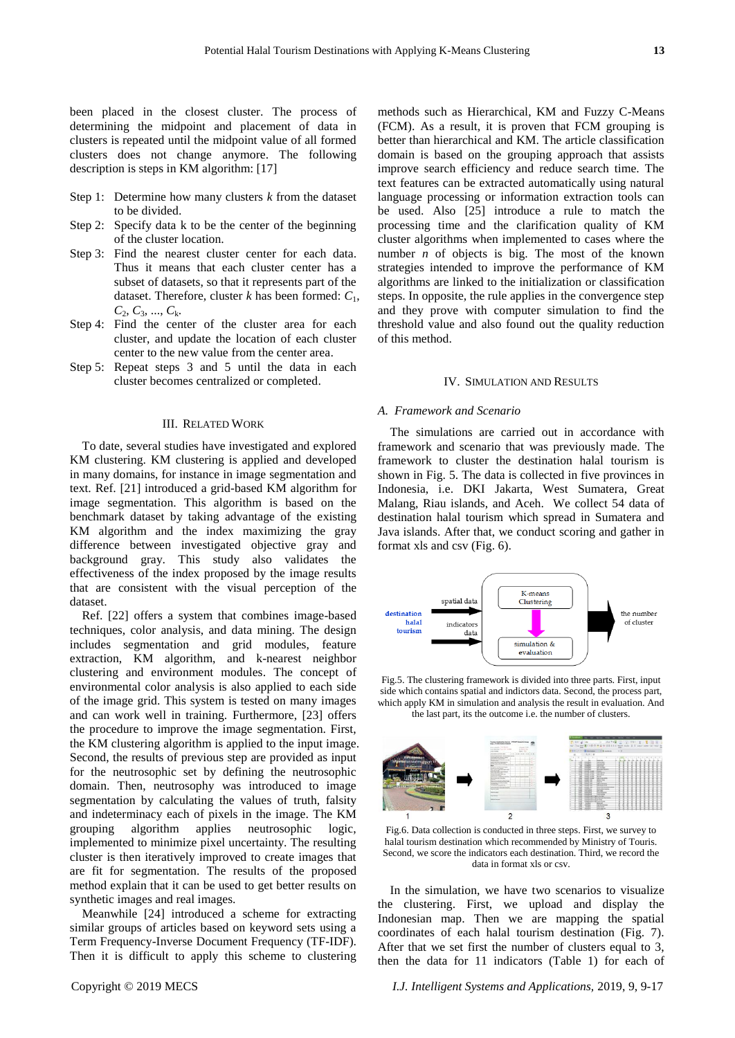been placed in the closest cluster. The process of determining the midpoint and placement of data in clusters is repeated until the midpoint value of all formed clusters does not change anymore. The following description is steps in KM algorithm: [17]

- Step 1: Determine how many clusters *k* from the dataset to be divided.
- Step 2: Specify data k to be the center of the beginning of the cluster location.
- Step 3: Find the nearest cluster center for each data. Thus it means that each cluster center has a subset of datasets, so that it represents part of the dataset. Therefore, cluster *k* has been formed: *C*1, *C*2, *C*3, ..., *C*k.
- Step 4: Find the center of the cluster area for each cluster, and update the location of each cluster center to the new value from the center area.
- Step 5: Repeat steps 3 and 5 until the data in each cluster becomes centralized or completed.

#### III. RELATED WORK

To date, several studies have investigated and explored KM clustering. KM clustering is applied and developed in many domains, for instance in image segmentation and text. Ref. [21] introduced a grid-based KM algorithm for image segmentation. This algorithm is based on the benchmark dataset by taking advantage of the existing KM algorithm and the index maximizing the gray difference between investigated objective gray and background gray. This study also validates the effectiveness of the index proposed by the image results that are consistent with the visual perception of the dataset.

Ref. [22] offers a system that combines image-based techniques, color analysis, and data mining. The design includes segmentation and grid modules, feature extraction, KM algorithm, and k-nearest neighbor clustering and environment modules. The concept of environmental color analysis is also applied to each side of the image grid. This system is tested on many images and can work well in training. Furthermore, [23] offers the procedure to improve the image segmentation. First, the KM clustering algorithm is applied to the input image. Second, the results of previous step are provided as input for the neutrosophic set by defining the neutrosophic domain. Then, neutrosophy was introduced to image segmentation by calculating the values of truth, falsity and indeterminacy each of pixels in the image. The KM grouping algorithm applies neutrosophic logic, implemented to minimize pixel uncertainty. The resulting cluster is then iteratively improved to create images that are fit for segmentation. The results of the proposed method explain that it can be used to get better results on synthetic images and real images.

Meanwhile [24] introduced a scheme for extracting similar groups of articles based on keyword sets using a Term Frequency-Inverse Document Frequency (TF-IDF). Then it is difficult to apply this scheme to clustering

methods such as Hierarchical, KM and Fuzzy C-Means (FCM). As a result, it is proven that FCM grouping is better than hierarchical and KM. The article classification domain is based on the grouping approach that assists improve search efficiency and reduce search time. The text features can be extracted automatically using natural language processing or information extraction tools can be used. Also [25] introduce a rule to match the processing time and the clarification quality of KM cluster algorithms when implemented to cases where the number *n* of objects is big. The most of the known strategies intended to improve the performance of KM algorithms are linked to the initialization or classification steps. In opposite, the rule applies in the convergence step and they prove with computer simulation to find the threshold value and also found out the quality reduction of this method.

#### IV. SIMULATION AND RESULTS

#### *A. Framework and Scenario*

The simulations are carried out in accordance with framework and scenario that was previously made. The framework to cluster the destination halal tourism is shown in Fig. 5. The data is collected in five provinces in Indonesia, i.e. DKI Jakarta, West Sumatera, Great Malang, Riau islands, and Aceh. We collect 54 data of destination halal tourism which spread in Sumatera and Java islands. After that, we conduct scoring and gather in format xls and csv (Fig. 6).



Fig.5. The clustering framework is divided into three parts. First, input side which contains spatial and indictors data. Second, the process part, which apply KM in simulation and analysis the result in evaluation. And the last part, its the outcome i.e. the number of clusters.



Fig.6. Data collection is conducted in three steps. First, we survey to halal tourism destination which recommended by Ministry of Touris. Second, we score the indicators each destination. Third, we record the data in format xls or csv.

In the simulation, we have two scenarios to visualize the clustering. First, we upload and display the Indonesian map. Then we are mapping the spatial coordinates of each halal tourism destination (Fig. 7). After that we set first the number of clusters equal to 3, then the data for 11 indicators (Table 1) for each of

Copyright © 2019 MECS *I.J. Intelligent Systems and Applications,* 2019, 9, 9-17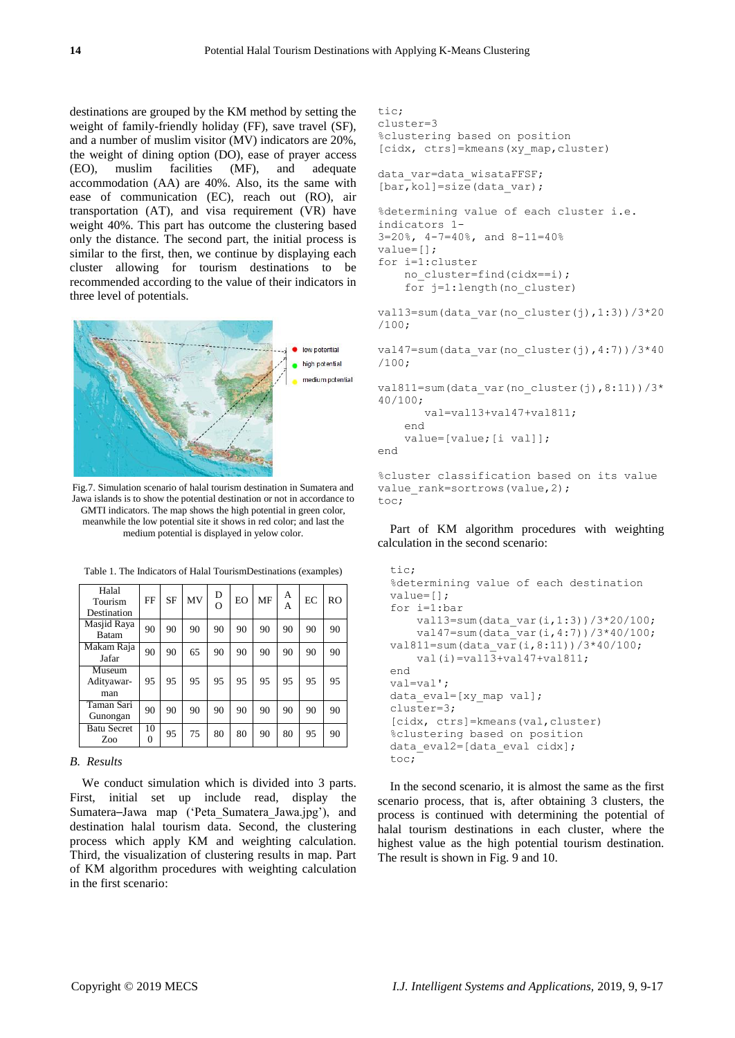destinations are grouped by the KM method by setting the weight of family-friendly holiday (FF), save travel (SF), and a number of muslim visitor (MV) indicators are 20%, the weight of dining option (DO), ease of prayer access (EO), muslim facilities (MF), and adequate accommodation (AA) are 40%. Also, its the same with ease of communication (EC), reach out (RO), air transportation (AT), and visa requirement (VR) have weight 40%. This part has outcome the clustering based only the distance. The second part, the initial process is similar to the first, then, we continue by displaying each cluster allowing for tourism destinations to be recommended according to the value of their indicators in three level of potentials.



Fig.7. Simulation scenario of halal tourism destination in Sumatera and Jawa islands is to show the potential destination or not in accordance to GMTI indicators. The map shows the high potential in green color, meanwhile the low potential site it shows in red color; and last the medium potential is displayed in yelow color.

| Halal<br>Tourism<br>Destination | FF      | <b>SF</b> | MV | D<br>$\Omega$ | EO | MF | А<br>А | EC | R <sub>O</sub> |
|---------------------------------|---------|-----------|----|---------------|----|----|--------|----|----------------|
| Masjid Raya<br><b>Batam</b>     | 90      | 90        | 90 | 90            | 90 | 90 | 90     | 90 | 90             |
| Makam Raja<br>Jafar             | 90      | 90        | 65 | 90            | 90 | 90 | 90     | 90 | 90             |
| Museum<br>Adityawar-<br>man     | 95      | 95        | 95 | 95            | 95 | 95 | 95     | 95 | 95             |
| Taman Sari<br>Gunongan          | 90      | 90        | 90 | 90            | 90 | 90 | 90     | 90 | 90             |
| <b>Batu Secret</b><br>Zoo       | 10<br>0 | 95        | 75 | 80            | 80 | 90 | 80     | 95 | 90             |

Table 1. The Indicators of Halal TourismDestinations (examples)

# *B. Results*

We conduct simulation which is divided into 3 parts. First, initial set up include read, display the Sumatera─Jawa map ("Peta\_Sumatera\_Jawa.jpg"), and destination halal tourism data. Second, the clustering process which apply KM and weighting calculation. Third, the visualization of clustering results in map. Part of KM algorithm procedures with weighting calculation in the first scenario:

```
tic;
cluster=3
%clustering based on position
[cidx, ctrs]=kmeans(xy_map,cluster)
data var=data wisataFFSF;
[bar, kol]=size(data var);
%determining value of each cluster i.e. 
indicators 1-
3=20%, 4-7=40%, and 8-11=40%
value=[];
for i=1:cluster
     no_cluster=find(cidx==i);
     for j=1:length(no_cluster)
val13=sum(data_var(no_cluster(j),1:3))/3*20
/100;
val47=sum(data_var(no_cluster(j),4:7))/3*40
/100;
val811=sum(data_var(no_cluster(j),8:11))/3*
40/100;
        val=val13+val47+val811;
     end
     value=[value;[i val]];
end
%cluster classification based on its value
```
Part of KM algorithm procedures with weighting calculation in the second scenario:

value rank=sortrows(value, 2);

toc;

```
tic;
%determining value of each destination
value=[];
for i=1:bar
     val13=sum(data_var(i,1:3))/3*20/100;
    val47 = sum(data\ var(i,4:7))/3*40/100;val811=sum(data_var(i,8:11))/3*40/100;
    val(i) = val1\overline{3} + val47 + val811;end
val=val';
data eval=[xy_map val];
cluster=3;
[cidx, ctrs]=kmeans(val,cluster)
%clustering based on position
data_eval2=[data_eval cidx];
toc;
```
In the second scenario, it is almost the same as the first scenario process, that is, after obtaining 3 clusters, the process is continued with determining the potential of halal tourism destinations in each cluster, where the highest value as the high potential tourism destination. The result is shown in Fig. 9 and 10.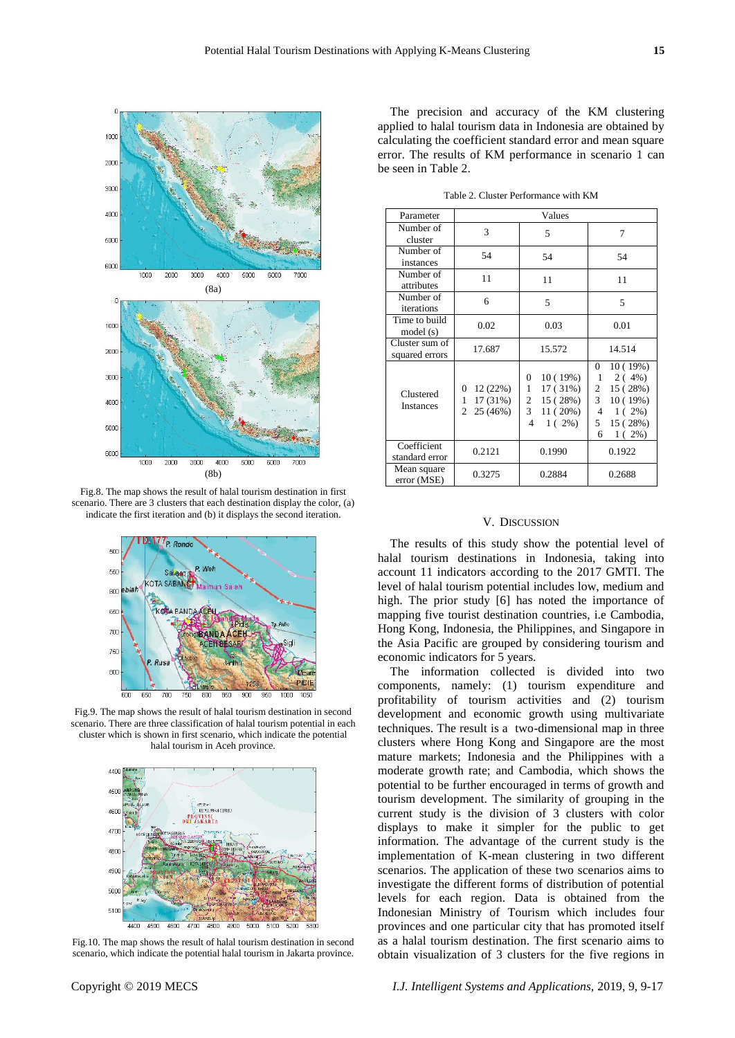

Fig.8. The map shows the result of halal tourism destination in first scenario. There are 3 clusters that each destination display the color, (a) indicate the first iteration and (b) it displays the second iteration.



Fig.9. The map shows the result of halal tourism destination in second scenario. There are three classification of halal tourism potential in each cluster which is shown in first scenario, which indicate the potential halal tourism in Aceh province.



Fig.10. The map shows the result of halal tourism destination in second scenario, which indicate the potential halal tourism in Jakarta province.

The precision and accuracy of the KM clustering applied to halal tourism data in Indonesia are obtained by calculating the coefficient standard error and mean square error. The results of KM performance in scenario 1 can be seen in Table 2.

Table 2. Cluster Performance with KM

| Parameter                        | Values                                                       |                                                                                             |                                                                                                                                        |  |  |
|----------------------------------|--------------------------------------------------------------|---------------------------------------------------------------------------------------------|----------------------------------------------------------------------------------------------------------------------------------------|--|--|
| Number of<br>cluster             | 3                                                            | 5                                                                                           | 7                                                                                                                                      |  |  |
| Number of<br>instances           | 54                                                           | 54                                                                                          | 54                                                                                                                                     |  |  |
| Number of<br>attributes          | 11                                                           | 11                                                                                          | 11                                                                                                                                     |  |  |
| Number of<br>iterations          | 6                                                            | 5                                                                                           | 5                                                                                                                                      |  |  |
| Time to build<br>model (s)       | 0.02                                                         | 0.03                                                                                        | 0.01                                                                                                                                   |  |  |
| Cluster sum of<br>squared errors | 17.687                                                       | 15.572                                                                                      | 14.514                                                                                                                                 |  |  |
| Clustered<br><b>Instances</b>    | 12 (22%)<br>0<br>17 (31%)<br>1<br>$\mathfrak{D}$<br>25 (46%) | 10(19%)<br>0<br>1<br>17 (31%)<br>15(28%)<br>2<br>$\overline{3}$<br>11(20%)<br>$1(2\%)$<br>4 | 10(19%)<br>0<br>2(4%)<br>1<br>15 (28%)<br>$\overline{2}$<br>$\mathbf{3}$<br>10(19%)<br>$1(2\%)$<br>4<br>5<br>15 (28%)<br>$1(2\%)$<br>6 |  |  |
| Coefficient<br>standard error    | 0.2121                                                       | 0.1990                                                                                      | 0.1922                                                                                                                                 |  |  |
| Mean square<br>error (MSE)       | 0.3275                                                       | 0.2884                                                                                      | 0.2688                                                                                                                                 |  |  |

# V. DISCUSSION

The results of this study show the potential level of halal tourism destinations in Indonesia, taking into account 11 indicators according to the 2017 GMTI. The level of halal tourism potential includes low, medium and high. The prior study [6] has noted the importance of mapping five tourist destination countries, i.e Cambodia, Hong Kong, Indonesia, the Philippines, and Singapore in the Asia Pacific are grouped by considering tourism and economic indicators for 5 years.

The information collected is divided into two components, namely: (1) tourism expenditure and profitability of tourism activities and (2) tourism development and economic growth using multivariate techniques. The result is a two-dimensional map in three clusters where Hong Kong and Singapore are the most mature markets; Indonesia and the Philippines with a moderate growth rate; and Cambodia, which shows the potential to be further encouraged in terms of growth and tourism development. The similarity of grouping in the current study is the division of 3 clusters with color displays to make it simpler for the public to get information. The advantage of the current study is the implementation of K-mean clustering in two different scenarios. The application of these two scenarios aims to investigate the different forms of distribution of potential levels for each region. Data is obtained from the Indonesian Ministry of Tourism which includes four provinces and one particular city that has promoted itself as a halal tourism destination. The first scenario aims to obtain visualization of 3 clusters for the five regions in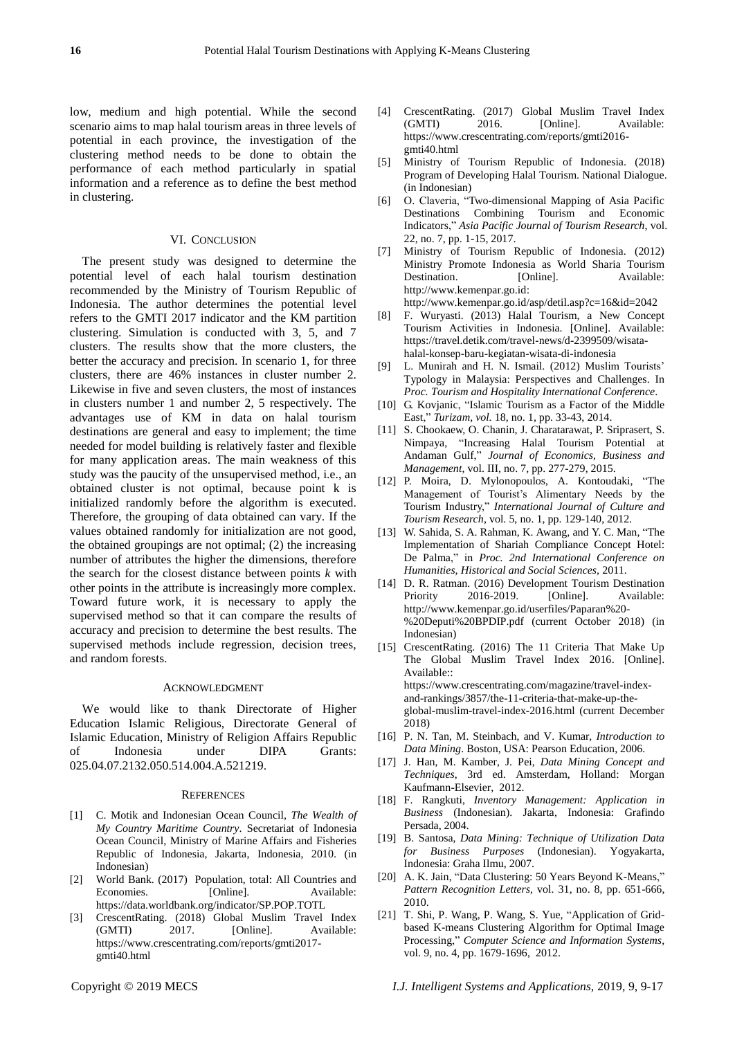low, medium and high potential. While the second scenario aims to map halal tourism areas in three levels of potential in each province, the investigation of the clustering method needs to be done to obtain the performance of each method particularly in spatial information and a reference as to define the best method in clustering.

#### VI. CONCLUSION

The present study was designed to determine the potential level of each halal tourism destination recommended by the Ministry of Tourism Republic of Indonesia. The author determines the potential level refers to the GMTI 2017 indicator and the KM partition clustering. Simulation is conducted with 3, 5, and 7 clusters. The results show that the more clusters, the better the accuracy and precision. In scenario 1, for three clusters, there are 46% instances in cluster number 2. Likewise in five and seven clusters, the most of instances in clusters number 1 and number 2, 5 respectively. The advantages use of KM in data on halal tourism destinations are general and easy to implement; the time needed for model building is relatively faster and flexible for many application areas. The main weakness of this study was the paucity of the unsupervised method, i.e., an obtained cluster is not optimal, because point k is initialized randomly before the algorithm is executed. Therefore, the grouping of data obtained can vary. If the values obtained randomly for initialization are not good, the obtained groupings are not optimal; (2) the increasing number of attributes the higher the dimensions, therefore the search for the closest distance between points *k* with other points in the attribute is increasingly more complex. Toward future work, it is necessary to apply the supervised method so that it can compare the results of accuracy and precision to determine the best results. The supervised methods include regression, decision trees, and random forests.

#### ACKNOWLEDGMENT

We would like to thank Directorate of Higher Education Islamic Religious, Directorate General of Islamic Education, Ministry of Religion Affairs Republic of Indonesia under DIPA Grants: 025.04.07.2132.050.514.004.A.521219.

#### **REFERENCES**

- [1] C. Motik and Indonesian Ocean Council, *The Wealth of My Country Maritime Country*. Secretariat of Indonesia Ocean Council, Ministry of Marine Affairs and Fisheries Republic of Indonesia, Jakarta, Indonesia, 2010. (in Indonesian)
- [2] World Bank. (2017) Population, total: All Countries and Economies. [Online]. Available: [https://data.worldbank.org/indicator/SP.POP.TOTL](https://data.worldbank.org/indicator/SP.POP.TOTL,)
- [3] CrescentRating. (2018) Global Muslim Travel Index (GMTI) 2017. [Online]. Available: [https://www.crescentrating.com/reports/gmti2017](https://www.crescentrating.com/reports/gmti2017-gmti40.html) [gmti40.html](https://www.crescentrating.com/reports/gmti2017-gmti40.html)
- [4] CrescentRating. (2017) Global Muslim Travel Index (GMTI) 2016. [Online]. Available: https://www.crescentrating.com/reports/gmti2016 gmti40.html
- [5] Ministry of Tourism Republic of Indonesia. (2018) Program of Developing Halal Tourism. National Dialogue. (in Indonesian)
- [6] O. Claveria, "Two-dimensional Mapping of Asia Pacific Destinations Combining Tourism and Economic Indicators," *Asia Pacific Journal of Tourism Research*, vol. 22, no. 7, pp. 1-15, 2017.
- [7] Ministry of Tourism Republic of Indonesia. (2012) Ministry Promote Indonesia as World Sharia Tourism Destination. [Online]. Available: [http://www.kemenpar.go.id:](http://www.kemenpar.go.id/)

<http://www.kemenpar.go.id/asp/detil.asp?c=16&id=2042>

- [8] F. Wuryasti. (2013) Halal Tourism, a New Concept Tourism Activities in Indonesia. [Online]. Available: [https://travel.detik.com/travel-news/d-2399509/wisata](https://travel.detik.com/travel-news/d-2399509/wisata-halal-konsep-baru-kegiatan-wisata-di-indonesia)[halal-konsep-baru-kegiatan-wisata-di-indonesia](https://travel.detik.com/travel-news/d-2399509/wisata-halal-konsep-baru-kegiatan-wisata-di-indonesia)
- [9] L. Munirah and H. N. Ismail. (2012) Muslim Tourists' Typology in Malaysia: Perspectives and Challenges. In *Proc. Tourism and Hospitality International Conference*.
- [10] G. Kovjanic, "Islamic Tourism as a Factor of the Middle East," *Turizam, vol.* 18, no. 1, pp. 33-43, 2014.
- [11] S. Chookaew, O. Chanin, J. Charatarawat, P. Sriprasert, S. Nimpaya, "Increasing Halal Tourism Potential at Andaman Gulf," *Journal of Economics, Business and Management*, vol. III, no. 7, pp. 277-279, 2015.
- [12] P. Moira, D. Mylonopoulos, A. Kontoudaki, "The Management of Tourist"s Alimentary Needs by the Tourism Industry," *International Journal of Culture and Tourism Research*, vol. 5, no. 1, pp. 129-140, 2012.
- [13] W. Sahida, S. A. Rahman, K. Awang, and Y. C. Man, "The Implementation of Shariah Compliance Concept Hotel: De Palma," in *Proc. 2nd International Conference on Humanities, Historical and Social Sciences,* 2011.
- [14] D. R. Ratman. (2016) Development Tourism Destination Priority 2016-2019. [Online]. Available: [http://www.kemenpar.go.id/userfiles/Paparan%20-](http://www.kemenpar.go.id/userfiles/Paparan%20-%20Deputi%20BPDIP.pdf) [%20Deputi%20BPDIP.pdf](http://www.kemenpar.go.id/userfiles/Paparan%20-%20Deputi%20BPDIP.pdf) (current October 2018) (in Indonesian)
- [15] CrescentRating. (2016) The 11 Criteria That Make Up The Global Muslim Travel Index 2016. [Online]. Available:: https://www.crescentrating.com/magazine/travel-indexand-rankings/3857/the-11-criteria-that-make-up-theglobal-muslim-travel-index-2016.html (current December 2018)
- [16] P. N. Tan, M. Steinbach, and V. Kumar, *Introduction to Data Mining*. Boston, USA: Pearson Education, 2006.
- [17] J. Han, M. Kamber, J. Pei, *Data Mining Concept and Techniques*, 3rd ed. Amsterdam, Holland: Morgan Kaufmann-Elsevier, 2012.
- [18] F. Rangkuti, *Inventory Management: Application in Business* (Indonesian). Jakarta, Indonesia: Grafindo Persada, 2004.
- [19] B. Santosa, *Data Mining: Technique of Utilization Data for Business Purposes* (Indonesian). Yogyakarta, Indonesia: Graha Ilmu, 2007.
- [20] A. K. Jain, "Data Clustering: 50 Years Beyond K-Means," *Pattern Recognition Letters*, vol. 31, no. 8, pp. 651-666, 2010.
- [21] T. Shi, P. Wang, P. Wang, S. Yue, "Application of Gridbased K-means Clustering Algorithm for Optimal Image Processing," *Computer Science and Information Systems*, vol. 9, no. 4, pp. 1679-1696, 2012.